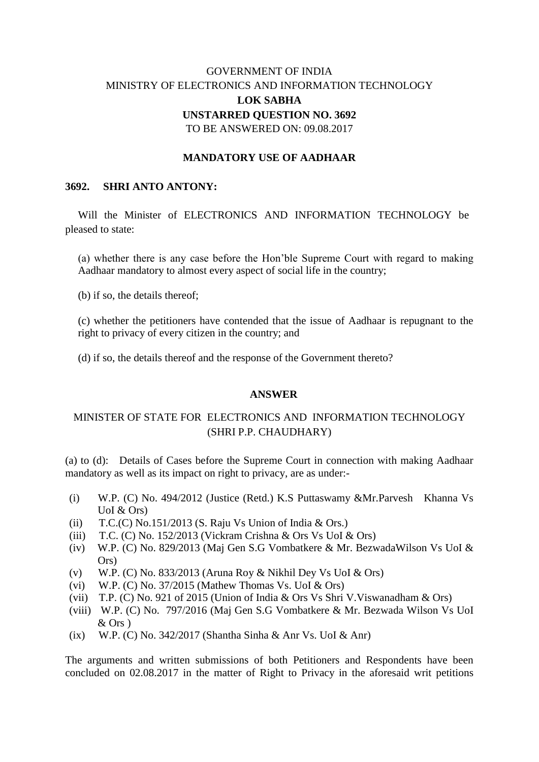# GOVERNMENT OF INDIA MINISTRY OF ELECTRONICS AND INFORMATION TECHNOLOGY **LOK SABHA UNSTARRED QUESTION NO. 3692** TO BE ANSWERED ON: 09.08.2017

### **MANDATORY USE OF AADHAAR**

#### **3692. SHRI ANTO ANTONY:**

Will the Minister of ELECTRONICS AND INFORMATION TECHNOLOGY be pleased to state:

(a) whether there is any case before the Hon'ble Supreme Court with regard to making Aadhaar mandatory to almost every aspect of social life in the country;

(b) if so, the details thereof;

(c) whether the petitioners have contended that the issue of Aadhaar is repugnant to the right to privacy of every citizen in the country; and

(d) if so, the details thereof and the response of the Government thereto?

#### **ANSWER**

## MINISTER OF STATE FOR ELECTRONICS AND INFORMATION TECHNOLOGY (SHRI P.P. CHAUDHARY)

(a) to (d):Details of Cases before the Supreme Court in connection with making Aadhaar mandatory as well as its impact on right to privacy, are as under:-

- (i) W.P. (C) No. 494/2012 (Justice (Retd.) K.S Puttaswamy &Mr.Parvesh Khanna Vs UoI & Ors)
- (ii)  $T.C.(C) No.151/2013$  (S. Raju Vs Union of India & Ors.)
- (iii) T.C. (C) No. 152/2013 (Vickram Crishna & Ors Vs UoI & Ors)
- (iv) W.P. (C) No. 829/2013 (Maj Gen S.G Vombatkere & Mr. BezwadaWilson Vs UoI & Ors)
- (v) W.P. (C) No. 833/2013 (Aruna Roy & Nikhil Dey Vs UoI & Ors)
- (vi) W.P. (C) No.  $37/2015$  (Mathew Thomas Vs. UoI & Ors)
- (vii) T.P. (C) No. 921 of 2015 (Union of India & Ors Vs Shri V.Viswanadham & Ors)
- (viii) W.P. (C) No. 797/2016 (Maj Gen S.G Vombatkere & Mr. Bezwada Wilson Vs UoI & Ors )
- (ix) W.P. (C) No. 342/2017 (Shantha Sinha & Anr Vs. UoI & Anr)

The arguments and written submissions of both Petitioners and Respondents have been concluded on 02.08.2017 in the matter of Right to Privacy in the aforesaid writ petitions